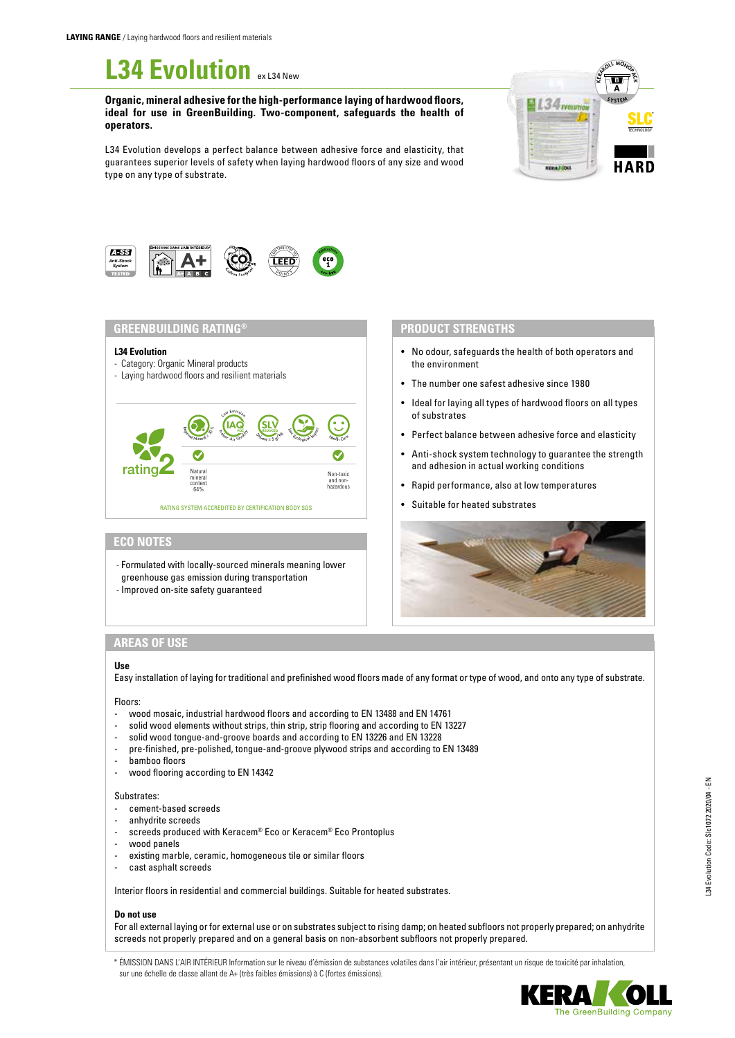# **L34 Evolution** *ex L34 New*

**Organic, mineral adhesive for the high-performance laying of hardwood floors, ideal for use in GreenBuilding. Two-component, safeguards the health of operators.**

L34 Evolution develops a perfect balance between adhesive force and elasticity, that guarantees superior levels of safety when laying hardwood floors of any size and wood type on any type of substrate.





## **GREENBUILDING RATING®**

#### **L34 Evolution**

- Category: Organic Mineral products
- Laying hardwood floors and resilient materials



## **ECO NOTES**

- Formulated with locally-sourced minerals meaning lower greenhouse gas emission during transportation
- Improved on-site safety guaranteed

## **PRODUCT STRENGTHS**

- No odour, safeguards the health of both operators and the environment
- The number one safest adhesive since 1980
- Ideal for laying all types of hardwood floors on all types of substrates
- Perfect balance between adhesive force and elasticity
- Anti-shock system technology to guarantee the strength and adhesion in actual working conditions
- Rapid performance, also at low temperatures
- Suitable for heated substrates



# **AREAS OF USE**

## **Use**

Easy installation of laying for traditional and prefinished wood floors made of any format or type of wood, and onto any type of substrate.

### Floors:

- wood mosaic, industrial hardwood floors and according to EN 13488 and EN 14761
- solid wood elements without strips, thin strip, strip flooring and according to EN 13227
- solid wood tongue-and-groove boards and according to EN 13226 and EN 13228
- pre-finished, pre-polished, tongue-and-groove plywood strips and according to EN 13489
- bamboo floors
- wood flooring according to EN 14342

#### Substrates:

- cement-based screeds
- anhydrite screeds
- screeds produced with Keracem® Eco or Keracem® Eco Prontoplus
- wood panels
- existing marble, ceramic, homogeneous tile or similar floors
- cast asphalt screeds

Interior floors in residential and commercial buildings. Suitable for heated substrates.

## **Do not use**

For all external laying or for external use or on substrates subject to rising damp; on heated subfloors not properly prepared; on anhydrite screeds not properly prepared and on a general basis on non-absorbent subfloors not properly prepared.

\* ÉMISSION DANS L'AIR INTÉRIEUR Information sur le niveau d'émission de substances volatiles dans l'air intérieur, présentant un risque de toxicité par inhalation, sur une échelle de classe allant de A+ (très faibles émissions) à C (fortes émissions).

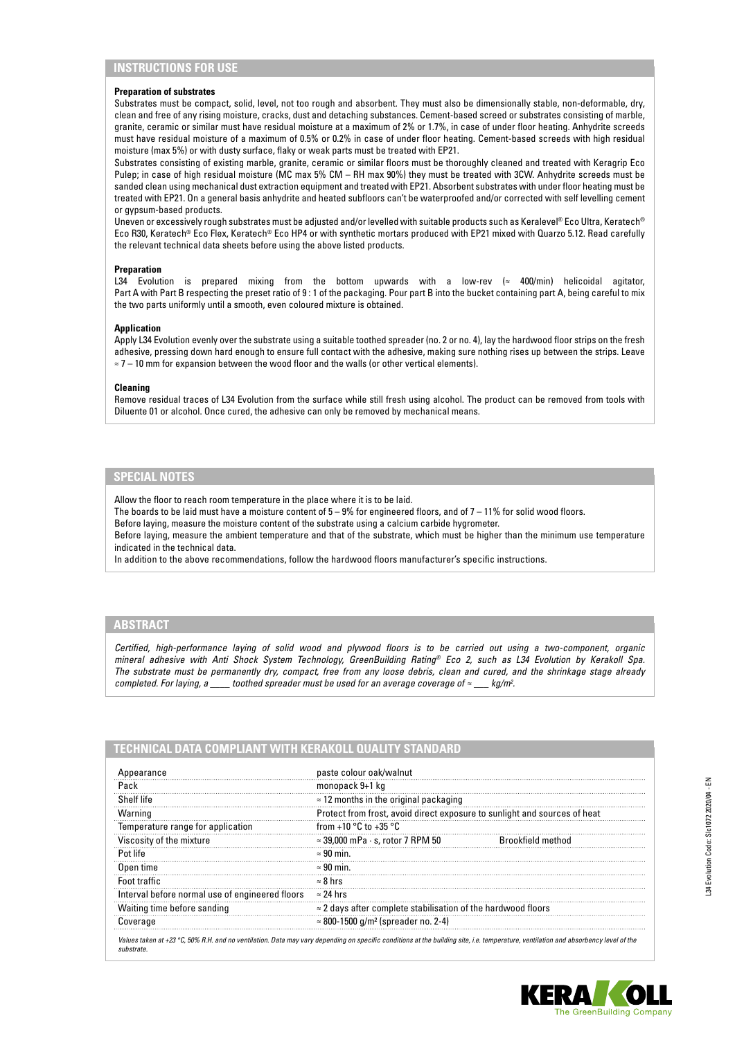## **INSTRUCTIONS FOR USE**

#### **Preparation of substrates**

Substrates must be compact, solid, level, not too rough and absorbent. They must also be dimensionally stable, non-deformable, dry, clean and free of any rising moisture, cracks, dust and detaching substances. Cement-based screed or substrates consisting of marble, granite, ceramic or similar must have residual moisture at a maximum of 2% or 1.7%, in case of under floor heating. Anhydrite screeds must have residual moisture of a maximum of 0.5% or 0.2% in case of under floor heating. Cement-based screeds with high residual moisture (max 5%) or with dusty surface, flaky or weak parts must be treated with EP21.

Substrates consisting of existing marble, granite, ceramic or similar floors must be thoroughly cleaned and treated with Keragrip Eco Pulep; in case of high residual moisture (MC max 5% CM – RH max 90%) they must be treated with 3CW. Anhydrite screeds must be sanded clean using mechanical dust extraction equipment and treated with EP21. Absorbent substrates with under floor heating must be treated with EP21. On a general basis anhydrite and heated subfloors can't be waterproofed and/or corrected with self levelling cement or gypsum-based products.

Uneven or excessively rough substrates must be adjusted and/or levelled with suitable products such as Keralevel® Eco Ultra, Keratech® Eco R30, Keratech® Eco Flex, Keratech® Eco HP4 or with synthetic mortars produced with EP21 mixed with Quarzo 5.12. Read carefully the relevant technical data sheets before using the above listed products.

### **Preparation**

L34 Evolution is prepared mixing from the bottom upwards with a low-rev (≈ 400/min) helicoidal agitator, Part A with Part B respecting the preset ratio of 9 : 1 of the packaging. Pour part B into the bucket containing part A, being careful to mix the two parts uniformly until a smooth, even coloured mixture is obtained.

#### **Application**

Apply L34 Evolution evenly over the substrate using a suitable toothed spreader (no. 2 or no. 4), lay the hardwood floor strips on the fresh adhesive, pressing down hard enough to ensure full contact with the adhesive, making sure nothing rises up between the strips. Leave ≈ 7 – 10 mm for expansion between the wood floor and the walls (or other vertical elements).

### **Cleaning**

Remove residual traces of L34 Evolution from the surface while still fresh using alcohol. The product can be removed from tools with Diluente 01 or alcohol. Once cured, the adhesive can only be removed by mechanical means.

## **SPECIAL NOTES**

Allow the floor to reach room temperature in the place where it is to be laid.

The boards to be laid must have a moisture content of  $5 - 9%$  for engineered floors, and of  $7 - 11%$  for solid wood floors.

Before laying, measure the moisture content of the substrate using a calcium carbide hygrometer.

Before laying, measure the ambient temperature and that of the substrate, which must be higher than the minimum use temperature indicated in the technical data.

In addition to the above recommendations, follow the hardwood floors manufacturer's specific instructions.

## **ABSTRACT**

*Certified, high-performance laying of solid wood and plywood floors is to be carried out using a two-component, organic mineral adhesive with Anti Shock System Technology, GreenBuilding Rating® Eco 2, such as L34 Evolution by Kerakoll Spa. The substrate must be permanently dry, compact, free from any loose debris, clean and cured, and the shrinkage stage already completed. For laying, a* \_\_\_\_\_ toothed spreader must be used for an average coverage of  $\approx$  \_\_\_ kg/m<sup>2</sup>.

| Appearance                                      | paste colour oak/walnut                                                   |                   |
|-------------------------------------------------|---------------------------------------------------------------------------|-------------------|
| Pack                                            | monopack 9+1 kg                                                           |                   |
| Shelf life                                      | $\approx$ 12 months in the original packaging                             |                   |
| Warning                                         | Protect from frost, avoid direct exposure to sunlight and sources of heat |                   |
| Temperature range for application               | from +10 $\degree$ C to +35 $\degree$ C                                   |                   |
| Viscosity of the mixture                        | $\approx$ 39,000 mPa $\cdot$ s, rotor 7 RPM 50                            | Brookfield method |
| Pot life                                        | $\approx 90$ min.                                                         |                   |
| Open time                                       | $\approx 90$ min.                                                         |                   |
| Foot traffic                                    | $\approx 8$ hrs                                                           |                   |
| Interval before normal use of engineered floors | $\approx$ 24 hrs                                                          |                   |
| Waiting time before sanding                     | $\approx$ 2 days after complete stabilisation of the hardwood floors      |                   |
| Coverage                                        | $\approx$ 800-1500 g/m <sup>2</sup> (spreader no. 2-4)                    |                   |

*Values taken at +23 °C, 50% R.H. and no ventilation. Data may vary depending on specific conditions at the building site, i.e. temperature, ventilation and absorbency level of the substrate.*